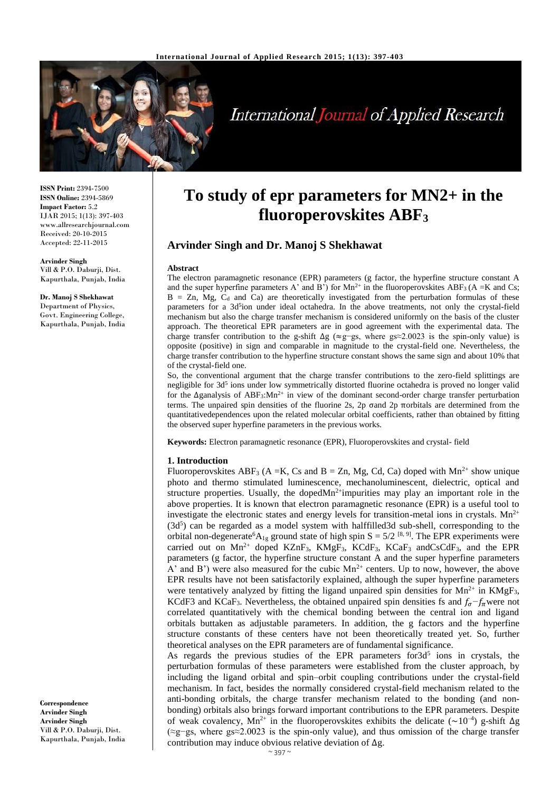

# **International Journal of Applied Research**

**ISSN Print:** 2394-7500 **ISSN Online:** 2394-5869 **Impact Factor:** 5.2 IJAR 2015; 1(13): 397-403 www.allresearchjournal.com Received: 20-10-2015 Accepted: 22-11-2015

**Arvinder Singh** Vill & P.O. Daburji, Dist. Kapurthala, Punjab, India

#### **Dr. Manoj S Shekhawat** Department of Physics, Govt. Engineering College, Kapurthala, Punjab, India

**Correspondence Arvinder Singh Arvinder Singh**

Vill & P.O. Daburji, Dist. Kapurthala, Punjab, India

## **To study of epr parameters for MN2+ in the fluoroperovskites ABF<sup>3</sup>**

## **Arvinder Singh and Dr. Manoj S Shekhawat**

#### **Abstract**

The electron paramagnetic resonance (EPR) parameters (g factor, the hyperfine structure constant A and the super hyperfine parameters A' and B') for  $Mn^{2+}$  in the fluoroperovskites ABF<sub>3</sub> (A =K and Cs;  $B = Zn$ , Mg,  $C<sub>d</sub>$  and Ca) are theoretically investigated from the perturbation formulas of these parameters for a 3d<sup>5</sup>ion under ideal octahedra. In the above treatments, not only the crystal-field mechanism but also the charge transfer mechanism is considered uniformly on the basis of the cluster approach. The theoretical EPR parameters are in good agreement with the experimental data. The charge transfer contribution to the g-shift  $\Delta g$  (≈g−gs, where gs≈2.0023 is the spin-only value) is opposite (positive) in sign and comparable in magnitude to the crystal-field one. Nevertheless, the charge transfer contribution to the hyperfine structure constant shows the same sign and about 10% that of the crystal-field one.

So, the conventional argument that the charge transfer contributions to the zero-field splittings are negligible for 3d<sup>5</sup> ions under low symmetrically distorted fluorine octahedra is proved no longer valid for the ∆ganalysis of ABF<sub>3</sub>:Mn<sup>2+</sup> in view of the dominant second-order charge transfer perturbation terms. The unpaired spin densities of the fluorine 2s, 2p σand 2p πorbitals are determined from the quantitativedependences upon the related molecular orbital coefficients, rather than obtained by fitting the observed super hyperfine parameters in the previous works.

**Keywords:** Electron paramagnetic resonance (EPR), Fluoroperovskites and crystal- field

#### **1. Introduction**

Fluoroperovskites ABF<sub>3</sub> (A = K, Cs and B = Zn, Mg, Cd, Ca) doped with  $Mn^{2+}$  show unique photo and thermo stimulated luminescence, mechanoluminescent, dielectric, optical and structure properties. Usually, the doped $Mn<sup>2+</sup>$ impurities may play an important role in the above properties. It is known that electron paramagnetic resonance (EPR) is a useful tool to investigate the electronic states and energy levels for transition-metal ions in crystals.  $Mn^{2+}$ (3d<sup>5</sup>) can be regarded as a model system with halffilled3d sub-shell, corresponding to the orbital non-degenerate<sup>6</sup>A<sub>1g</sub> ground state of high spin S = 5/2<sup>[8,9]</sup>. The EPR experiments were carried out on  $Mn^{2+}$  doped KZnF<sub>3</sub>, KMgF<sub>3</sub>, KCdF<sub>3</sub>, KCaF<sub>3</sub> andCsCdF<sub>3</sub>, and the EPR parameters (g factor, the hyperfine structure constant A and the super hyperfine parameters A' and B') were also measured for the cubic  $Mn^{2+}$  centers. Up to now, however, the above EPR results have not been satisfactorily explained, although the super hyperfine parameters were tentatively analyzed by fitting the ligand unpaired spin densities for  $Mn^{2+}$  in  $KMgF_3$ , KCdF3 and KCaF<sub>3</sub>. Nevertheless, the obtained unpaired spin densities fs and  $f_{\sigma}-f_{\pi}$  were not correlated quantitatively with the chemical bonding between the central ion and ligand orbitals buttaken as adjustable parameters. In addition, the g factors and the hyperfine structure constants of these centers have not been theoretically treated yet. So, further theoretical analyses on the EPR parameters are of fundamental significance.

As regards the previous studies of the EPR parameters for  $3d^5$  ions in crystals, the perturbation formulas of these parameters were established from the cluster approach, by including the ligand orbital and spin–orbit coupling contributions under the crystal-field mechanism. In fact, besides the normally considered crystal-field mechanism related to the anti-bonding orbitals, the charge transfer mechanism related to the bonding (and nonbonding) orbitals also brings forward important contributions to the EPR parameters. Despite of weak covalency, Mn<sup>2+</sup> in the fluoroperovskites exhibits the delicate (~10<sup>-4</sup>) g-shift  $\Delta g$ (≈g−gs, where gs≈2.0023 is the spin-only value), and thus omission of the charge transfer contribution may induce obvious relative deviation of ∆g.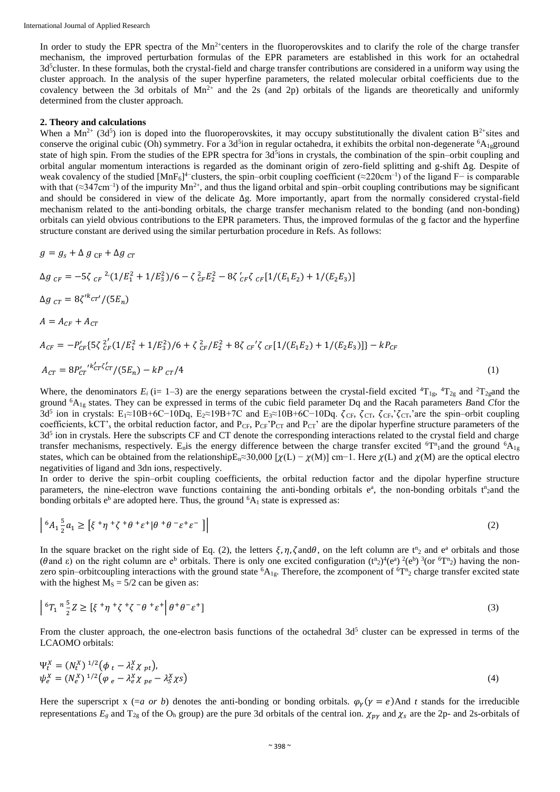In order to study the EPR spectra of the  $Mn<sup>2+</sup>$ centers in the fluoroperovskites and to clarify the role of the charge transfer mechanism, the improved perturbation formulas of the EPR parameters are established in this work for an octahedral 3d<sup>5</sup>cluster. In these formulas, both the crystal-field and charge transfer contributions are considered in a uniform way using the cluster approach. In the analysis of the super hyperfine parameters, the related molecular orbital coefficients due to the covalency between the 3d orbitals of  $Mn^{2+}$  and the 2s (and 2p) orbitals of the ligands are theoretically and uniformly determined from the cluster approach.

#### **2. Theory and calculations**

When a  $Mn^{2+}$  (3d<sup>5</sup>) ion is doped into the fluoroperovskites, it may occupy substitutionally the divalent cation  $B^{2+}$ sites and conserve the original cubic (Oh) symmetry. For a 3d<sup>5</sup>ion in regular octahedra, it exhibits the orbital non-degenerate <sup>6</sup>A<sub>1g</sub>ground state of high spin. From the studies of the EPR spectra for 3d<sup>5</sup>ions in crystals, the combination of the spin–orbit coupling and orbital angular momentum interactions is regarded as the dominant origin of zero-field splitting and g-shift ∆g. Despite of weak covalency of the studied [MnF<sub>6</sub>]<sup>4–</sup>clusters, the spin–orbit coupling coefficient (≈220cm<sup>-1</sup>) of the ligand F– is comparable with that  $(\approx 347 \text{cm}^{-1})$  of the impurity Mn<sup>2+</sup>, and thus the ligand orbital and spin–orbit coupling contributions may be significant and should be considered in view of the delicate ∆g. More importantly, apart from the normally considered crystal-field mechanism related to the anti-bonding orbitals, the charge transfer mechanism related to the bonding (and non-bonding) orbitals can yield obvious contributions to the EPR parameters. Thus, the improved formulas of the g factor and the hyperfine structure constant are derived using the similar perturbation procedure in Refs. As follows:

$$
g = g_s + \Delta g_{CF} + \Delta g_{CT}
$$
  
\n
$$
\Delta g_{CF} = -5\zeta_{CF}^{2} \cdot (1/E_1^2 + 1/E_3^2)/6 - \zeta_{CF}^2 E_2^2 - 8\zeta_{CF}^{\prime} \zeta_{CF} [1/(E_1 E_2) + 1/(E_2 E_3)]
$$
  
\n
$$
\Delta g_{CT} = 8\zeta^{\prime k} cr^{\prime}/(5E_n)
$$
  
\n
$$
A = A_{CF} + A_{CT}
$$
  
\n
$$
A_{CF} = -P_{CF}^{\prime} \{5\zeta_{CF}^{2\prime} (1/E_1^2 + 1/E_3^2)/6 + \zeta_{CF}^2/E_2^2 + 8\zeta_{CF}^{\prime} \zeta_{CF} [1/(E_1 E_2) + 1/(E_2 E_3)]\} - kP_{CF}
$$

$$
A_{CT} = 8P_{CT}^{\prime \prime \kappa_{CT}^{\prime} \zeta_{CT}^{\prime}} / (5E_n) - kP_{CT}/4
$$
\n(1)

Where, the denominators  $E_i$  (i= 1–3) are the energy separations between the crystal-field excited  ${}^4T_{1g}$ ,  ${}^4T_{2g}$  and  ${}^2T_{2g}$ and the ground <sup>6</sup>A1g states. They can be expressed in terms of the cubic field parameter Dq and the Racah parameters *B*and *C*for the 3d<sup>5</sup> ion in crystals: E<sub>1</sub>≈10B+6C-10Dq, E<sub>2</sub>≈19B+7C and E<sub>3</sub>≈10B+6C-10Dq.  $\zeta_{CF}$ ,  $\zeta_{CF}$ ,  $\zeta_{CF}$ ,  $\zeta_{CF}$ , are the spin–orbit coupling coefficients, kCT's the orbital reduction factor, and  $P_{CF}$ ,  $P_{CF}$ ' $P_{CT}$  and  $P_{CT}$ ' are the dipolar hyperfine structure parameters of the 3d<sup>5</sup> ion in crystals. Here the subscripts CF and CT denote the corresponding interactions related to the crystal field and charge transfer mechanisms, respectively. E<sub>n</sub>is the energy difference between the charge transfer excited  ${}^6T^n{}_1$  and the ground  ${}^6A_{1g}$ states, which can be obtained from the relationshipE<sub>n</sub>≈30,000 [ $\chi(L) - \chi(M)$ ] cm−1. Here  $\chi(L)$  and  $\chi(M)$  are the optical electro negativities of ligand and 3dn ions, respectively.

In order to derive the spin–orbit coupling coefficients, the orbital reduction factor and the dipolar hyperfine structure parameters, the nine-electron wave functions containing the anti-bonding orbitals e<sup>a</sup>, the non-bonding orbitals t<sup>n</sup><sub>2</sub>and the bonding orbitals  $e^b$  are adopted here. Thus, the ground  ${}^6A_1$  state is expressed as:

$$
\left| \,^{6}A_{1} \frac{5}{2}a_{1} \geq \left[ \xi^{+}\eta^{+}\zeta^{+}\theta^{+}\varepsilon^{+}|\theta^{+}\theta^{-}\varepsilon^{+}\varepsilon^{-} \right] \right| \tag{2}
$$

In the square bracket on the right side of Eq. (2), the letters  $\xi$ ,  $\eta$ ,  $\zeta$  and  $\theta$ , on the left column are  $t^n_2$  and  $e^a$  orbitals and those (θand ε) on the right column are e<sup>b</sup> orbitals. There is only one excited configuration  $(t^n_2)^4 (e^a)^2 (e^b)^3 (or^6T^n_2)$  having the nonzero spin–orbitcoupling interactions with the ground state  ${}^6A_{1g}$ . Therefore, the zcomponent of  ${}^6T_{12}$  charge transfer excited state with the highest  $M<sub>S</sub> = 5/2$  can be given as:

$$
\left| \,^{6}T_{1} \,^{n} \frac{5}{2} Z \geq \left[ \xi \,^{+} \eta \,^{+} \zeta \,^{+} \zeta \,^{-} \theta \,^{+} \varepsilon \,^{+} \right] \theta^{+} \theta^{-} \varepsilon^{+} \right] \tag{3}
$$

From the cluster approach, the one-electron basis functions of the octahedral  $3d<sup>5</sup>$  cluster can be expressed in terms of the LCAOMO orbitals:

$$
\Psi_t^X = (N_t^X)^{1/2} \left( \phi_t - \lambda_t^X \chi_{pt} \right),
$$
  
\n
$$
\psi_e^X = (N_e^X)^{1/2} \left( \phi_e - \lambda_e^X \chi_{pe} - \lambda_s^X \chi_s \right)
$$
\n(4)

Here the superscript x (=a or b) denotes the anti-bonding or bonding orbitals.  $\varphi_{\gamma}(\gamma = e)$ And t stands for the irreducible representations  $E_g$  and  $T_{2g}$  of the O<sub>h</sub> group) are the pure 3d orbitals of the central ion.  $\chi_{p\gamma}$  and  $\chi_s$  are the 2p- and 2s-orbitals of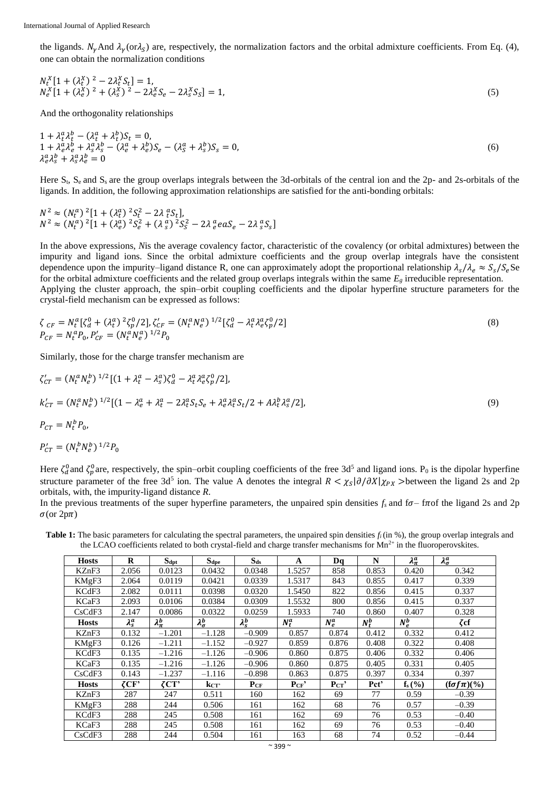the ligands.  $N_{\gamma}$ And  $\lambda_{\gamma}$ (or $\lambda_{S}$ ) are, respectively, the normalization factors and the orbital admixture coefficients. From Eq. (4), one can obtain the normalization conditions

$$
N_t^X[1 + (\lambda_t^X)^2 - 2\lambda_t^X S_t] = 1,N_e^X[1 + (\lambda_e^X)^2 + (\lambda_s^X)^2 - 2\lambda_e^X S_e - 2\lambda_s^X S_s] = 1,
$$
\n(5)

And the orthogonality relationships

$$
1 + \lambda_{\epsilon}^a \lambda_{\epsilon}^b - (\lambda_{\epsilon}^a + \lambda_{\epsilon}^b) S_{\epsilon} = 0,
$$
  
\n
$$
1 + \lambda_{\epsilon}^a \lambda_{\epsilon}^b + \lambda_{\epsilon}^a \lambda_{\epsilon}^b - (\lambda_{\epsilon}^a + \lambda_{\epsilon}^b) S_{\epsilon} - (\lambda_{\epsilon}^a + \lambda_{\epsilon}^b) S_{\epsilon} = 0,
$$
  
\n
$$
\lambda_{\epsilon}^a \lambda_{\epsilon}^b + \lambda_{\epsilon}^a \lambda_{\epsilon}^b = 0
$$
\n(6)

Here  $S_t$ ,  $S_e$  and  $S_s$  are the group overlaps integrals between the 3d-orbitals of the central ion and the 2p- and 2s-orbitals of the ligands. In addition, the following approximation relationships are satisfied for the anti-bonding orbitals:

 $N^2 \approx (N_t^a)^2 [1 + (\lambda_t^a)^2 S_t^2 - 2\lambda_t^a S_t],$  $N^2 \approx (N_t^a)^2 [1 + (\lambda_e^a)^2 S_e^2 + (\lambda_s^a)^2 S_s^2 - 2\lambda_e^a e a S_e - 2\lambda_s^a S_s]$ 

In the above expressions, *N*is the average covalency factor, characteristic of the covalency (or orbital admixtures) between the impurity and ligand ions. Since the orbital admixture coefficients and the group overlap integrals have the consistent dependence upon the impurity–ligand distance R, one can approximately adopt the proportional relationship  $\lambda_s/\lambda_e \approx S_s/S_e$ Se for the orbital admixture coefficients and the related group overlaps integrals within the same  $E_g$  irreducible representation. Applying the cluster approach, the spin–orbit coupling coefficients and the dipolar hyperfine structure parameters for the crystal-field mechanism can be expressed as follows:

$$
\zeta_{CF} = N_t^a [\zeta_d^0 + (\lambda_t^a)^2 \zeta_p^0 / 2], \zeta_{CF}' = (N_t^a N_e^a)^{1/2} [\zeta_d^0 - \lambda_t^a \lambda_e^a \zeta_p^0 / 2]
$$
\n
$$
P_{CF} = N_t^a P_0, P_{CF}' = (N_t^a N_e^a)^{1/2} P_0
$$
\n(8)

Similarly, those for the charge transfer mechanism are

$$
\zeta'_{CT} = (N_t^a N_e^b)^{1/2} [(1 + \lambda_t^a - \lambda_s^a) \zeta_d^0 - \lambda_t^a \lambda_e^a \zeta_p^0 / 2],
$$
  
\n
$$
k'_{CT} = (N_t^a N_e^b)^{1/2} [(1 - \lambda_e^a + \lambda_t^a - 2\lambda_t^a S_t S_e + \lambda_e^a \lambda_t^a S_t / 2 + A\lambda_t^b \lambda_s^a / 2],
$$
  
\n
$$
P_{CT} = N_t^b P_0,
$$
  
\n
$$
P'_{CT} = (N_t^b N_e^b)^{1/2} P_0
$$
 (9)

Here  $\zeta_d^0$  and  $\zeta_p^0$  are, respectively, the spin–orbit coupling coefficients of the free 3d<sup>5</sup> and ligand ions. P<sub>0</sub> is the dipolar hyperfine structure parameter of the free 3d<sup>5</sup> ion. The value A denotes the integral  $R < \chi_S |\partial/\partial X|\chi_{PX}$  >between the ligand 2s and 2p orbitals, with, the impurity-ligand distance *R*.

In the previous treatments of the super hyperfine parameters, the unpaired spin densities  $f_s$  and  $f_\sigma$ – from the ligand 2s and 2p  $\sigma$ (or 2p $\pi$ )

**Table 1:** The basic parameters for calculating the spectral parameters, the unpaired spin densities  $f_i$  (in %), the group overlap integrals and the LCAO coefficients related to both crystal-field and charge transfer mechanisms for  $Mn^{2+}$  in the fluoroperovskites.

| <b>Hosts</b> | $\bf{R}$      | $S_{\text{dpt}}$    | Sdpe               | $S_{ds}$        | A       | Dq       | N       | $\lambda_{\pi}^a$ | $\lambda^a_\sigma$   |
|--------------|---------------|---------------------|--------------------|-----------------|---------|----------|---------|-------------------|----------------------|
| KZnF3        | 2.056         | 0.0123              | 0.0432             | 0.0348          | 1.5257  | 858      | 0.853   | 0.420             | 0.342                |
| KMgF3        | 2.064         | 0.0119              | 0.0421             | 0.0339          | 1.5317  | 843      | 0.855   | 0.417             | 0.339                |
| KCdF3        | 2.082         | 0.0111              | 0.0398             | 0.0320          | 1.5450  | 822      | 0.856   | 0.415             | 0.337                |
| KCaF3        | 2.093         | 0.0106              | 0.0384             | 0.0309          | 1.5532  | 800      | 0.856   | 0.415             | 0.337                |
| CsCdF3       | 2.147         | 0.0086              | 0.0322             | 0.0259          | 1.5933  | 740      | 0.860   | 0.407             | 0.328                |
| <b>Hosts</b> | $\lambda_s^a$ | $\lambda_{\pi}^{b}$ | $\lambda_\sigma^b$ | $\lambda_s^b$   | $N_t^a$ | $N_e^a$  | $N_t^b$ | $N_e^b$           | ζcf                  |
| KZnF3        | 0.132         | $-1.201$            | $-1.128$           | $-0.909$        | 0.857   | 0.874    | 0.412   | 0.332             | 0.412                |
| KMgF3        | 0.126         | $-1.211$            | $-1.152$           | $-0.927$        | 0.859   | 0.876    | 0.408   | 0.322             | 0.408                |
| KCdF3        | 0.135         | $-1.216$            | $-1.126$           | $-0.906$        | 0.860   | 0.875    | 0.406   | 0.332             | 0.406                |
| KCaF3        | 0.135         | $-1.216$            | $-1.126$           | $-0.906$        | 0.860   | 0.875    | 0.405   | 0.331             | 0.405                |
| CsCdF3       | 0.143         | $-1.237$            | -1.116             | $-0.898$        | 0.863   | 0.875    | 0.397   | 0.334             | 0.397                |
| <b>Hosts</b> | $\zeta$ CF'   | $\zeta$ CT'         | kcr'               | P <sub>CF</sub> | PCF'    | $P_{CT}$ | Pct'    | $f_s$ $(\%)$      | $(f\sigma f\pi)(\%)$ |
| KZnF3        | 287           | 247                 | 0.511              | 160             | 162     | 69       | 77      | 0.59              | $-0.39$              |
| KMgF3        | 288           | 244                 | 0.506              | 161             | 162     | 68       | 76      | 0.57              | $-0.39$              |
| KCdF3        | 288           | 245                 | 0.508              | 161             | 162     | 69       | 76      | 0.53              | $-0.40$              |
| KCaF3        | 288           | 245                 | 0.508              | 161             | 162     | 69       | 76      | 0.53              | $-0.40$              |
| CsCdF3       | 288           | 244                 | 0.504              | 161             | 163     | 68       | 74      | 0.52              | $-0.44$              |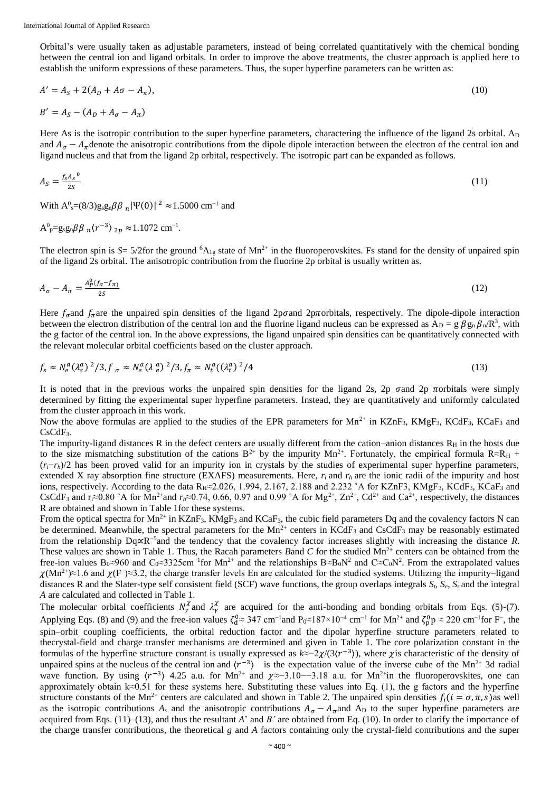Orbital's were usually taken as adjustable parameters, instead of being correlated quantitatively with the chemical bonding between the central ion and ligand orbitals. In order to improve the above treatments, the cluster approach is applied here to establish the uniform expressions of these parameters. Thus, the super hyperfine parameters can be written as:

$$
A' = A_S + 2(A_D + A\sigma - A_\pi),
$$
  
\n
$$
B' = A_S - (A_D + A_\sigma - A_\pi)
$$
\n(10)

Here As is the isotropic contribution to the super hyperfine parameters, charactering the influence of the ligand 2s orbital. A<sub>D</sub> and  $A_{\sigma} - A_{\pi}$  denote the anisotropic contributions from the dipole dipole interaction between the electron of the central ion and ligand nucleus and that from the ligand 2p orbital, respectively. The isotropic part can be expanded as follows.

$$
A_S = \frac{f_S A_S^0}{2S} \tag{11}
$$

With  $A^0$ <sub>s</sub>=(8/3)g<sub>s</sub>g<sub>n</sub> $\beta\beta$ <sub>n</sub>| $\Psi(0)$ |<sup>2</sup> ≈1.5000 cm<sup>-1</sup> and

.

$$
A^0
$$
<sub>p</sub>=g<sub>s</sub>g<sub>n</sub> $\beta\beta$ <sub>n</sub> $\langle r^{-3} \rangle$ <sub>2p</sub>  $\approx$ 1.1072 cm<sup>-1</sup>

The electron spin is  $S = 5/2$  for the ground <sup>6</sup>A<sub>1g</sub> state of Mn<sup>2+</sup> in the fluoroperovskites. Fs stand for the density of unpaired spin of the ligand 2s orbital. The anisotropic contribution from the fluorine 2p orbital is usually written as.

$$
A_{\sigma} - A_{\pi} = \frac{A_{P}^{0}(f_{\sigma} - f_{\pi})}{2S} \tag{12}
$$

Here  $f_{\sigma}$  and  $f_{\pi}$  are the unpaired spin densities of the ligand 2p $\sigma$  and 2p $\pi$ orbitals, respectively. The dipole-dipole interaction between the electron distribution of the central ion and the fluorine ligand nucleus can be expressed as  $A_D = g \beta g_n \beta_n / R^3$ , with the g factor of the central ion. In the above expressions, the ligand unpaired spin densities can be quantitatively connected with the relevant molecular orbital coefficients based on the cluster approach.

$$
f_s \approx N_e^a (\lambda_s^a)^2 / 3, f_\sigma \approx N_e^a (\lambda_e^a)^2 / 3, f_\pi \approx N_t^a ((\lambda_t^a)^2 / 4)
$$
 (13)

It is noted that in the previous works the unpaired spin densities for the ligand 2s, 2p  $\sigma$  and 2p  $\pi$  orbitals were simply determined by fitting the experimental super hyperfine parameters. Instead, they are quantitatively and uniformly calculated from the cluster approach in this work.

Now the above formulas are applied to the studies of the EPR parameters for Mn<sup>2+</sup> in KZnF<sub>3</sub>, KMgF<sub>3</sub>, KCdF<sub>3</sub>, KCaF<sub>3</sub> and CsCdF<sub>3</sub>.

The impurity-ligand distances R in the defect centers are usually different from the cation–anion distances  $R<sub>H</sub>$  in the hosts due to the size mismatching substitution of the cations  $B^{2+}$  by the impurity Mn<sup>2+</sup>. Fortunately, the empirical formula R $\approx R_H$  +  $(r_i-\tau_h)/2$  has been proved valid for an impurity ion in crystals by the studies of experimental super hyperfine parameters, extended X ray absorption fine structure (EXAFS) measurements. Here,  $r_i$  and  $r_h$  are the ionic radii of the impurity and host ions, respectively. According to the data R<sub>H</sub>≈2.026, 1.994, 2.167, 2.188 and 2.232 °A for KZnF3, KMgF<sub>3</sub>, KCdF<sub>3</sub>, KCaF<sub>3</sub> and CsCdF<sub>3</sub> and r<sub>i</sub>≈0.80 °A for Mn<sup>2+</sup>and  $r_h$ ≈0.74, 0.66, 0.97 and 0.99 °A for Mg<sup>2+</sup>, Zn<sup>2+</sup>, Cd<sup>2+</sup> and Ca<sup>2+</sup>, respectively, the distances R are obtained and shown in Table 1for these systems.

From the optical spectra for  $Mn^{2+}$  in KZnF<sub>3</sub>, KMgF<sub>3</sub> and KCaF<sub>3</sub>, the cubic field parameters Dq and the covalency factors N can be determined. Meanwhile, the spectral parameters for the  $Mn^{2+}$  centers in KCdF<sub>3</sub> and CsCdF<sub>3</sub> may be reasonably estimated from the relationship Dq∝R<sup>-5</sup> and the tendency that the covalency factor increases slightly with increasing the distance *R*. These values are shown in Table 1. Thus, the Racah parameters *Band C* for the studied  $Mn^{2+}$  centers can be obtained from the free-ion values B<sub>0</sub>≈960 and C<sub>0</sub>≈3325cm<sup>-1</sup>for Mn<sup>2+</sup> and the relationships B≈B<sub>0</sub>N<sup>2</sup> and C≈C<sub>0</sub>N<sup>2</sup>. From the extrapolated values  $\chi(Mn^{2+})\approx 1.6$  and  $\chi(F)\approx 3.2$ , the charge transfer levels En are calculated for the studied systems. Utilizing the impurity–ligand distances R and the Slater-type self consistent field (SCF) wave functions, the group overlaps integrals *St*, *Se*, *Ss* and the integral *A* are calculated and collected in Table 1.

The molecular orbital coefficients  $N_\gamma^{\chi}$  and  $\lambda_\gamma^{\chi}$  are acquired for the anti-bonding and bonding orbitals from Eqs. (5)-(7). Applying Eqs. (8) and (9) and the free-ion values  $\zeta_0^0 \approx 347 \text{ cm}^{-1}$  and  $P_0 \approx 187 \times 10^{-4} \text{ cm}^{-1}$  for Mn<sup>2+</sup> and  $\zeta_p^0 \approx 220 \text{ cm}^{-1}$  for F<sup>-</sup>, the spin–orbit coupling coefficients, the orbital reduction factor and the dipolar hyperfine structure parameters related to thecrystal-field and charge transfer mechanisms are determined and given in Table 1. The core polarization constant in the formulas of the hyperfine structure constant is usually expressed as  $k \approx -2\chi/(3(r^{-3}))$ , where *χ* is characteristic of the density of unpaired spins at the nucleus of the central ion and  $\langle r^{-3} \rangle$  is the expectation value of the inverse cube of the Mn<sup>2+</sup> 3d radial wave function. By using  $\langle r^{-3} \rangle$  4.25 a.u. for Mn<sup>2+</sup> and  $\chi \approx -3.10 - 3.18$  a.u. for Mn<sup>2+</sup>in the fluoroperovskites, one can approximately obtain k≈0.51 for these systems here. Substituting these values into Eq. (1), the g factors and the hyperfine structure constants of the Mn<sup>2+</sup> centers are calculated and shown in Table 2. The unpaired spin densities  $f_i(i = \sigma, \pi, s)$ as well as the isotropic contributions  $A_s$  and the anisotropic contributions  $A_\sigma - A_\pi$  and  $A_D$  to the super hyperfine parameters are acquired from Eqs. (11)–(13), and thus the resultant *A*' and *B'* are obtained from Eq. (10). In order to clarify the importance of the charge transfer contributions, the theoretical *g* and *A* factors containing only the crystal-field contributions and the super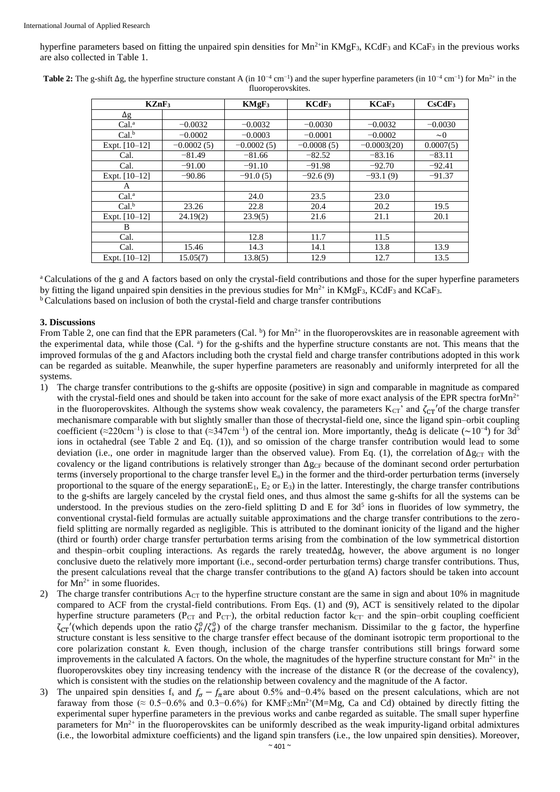hyperfine parameters based on fitting the unpaired spin densities for  $Mn^2$ in  $KMgF_3$ , KCdF<sub>3</sub> and KCaF<sub>3</sub> in the previous works are also collected in Table 1.

| KZnF <sub>3</sub> |              | $KMgF_3$     | KCdF <sub>3</sub> | KCaF <sub>3</sub> | CsCdF <sub>3</sub> |
|-------------------|--------------|--------------|-------------------|-------------------|--------------------|
| $\Delta g$        |              |              |                   |                   |                    |
| Cal <sup>a</sup>  | $-0.0032$    | $-0.0032$    | $-0.0030$         | $-0.0032$         | $-0.0030$          |
| Cal <sup>b</sup>  | $-0.0002$    | $-0.0003$    | $-0.0001$         | $-0.0002$         | $\sim 0$           |
| Expt. [10-12]     | $-0.0002(5)$ | $-0.0002(5)$ | $-0.0008(5)$      | $-0.0003(20)$     | 0.0007(5)          |
| Cal.              | $-81.49$     | $-81.66$     | $-82.52$          | $-83.16$          | $-83.11$           |
| Cal.              | $-91.00$     | $-91.10$     | $-91.98$          | $-92.70$          | $-92.41$           |
| Expt. $[10-12]$   | $-90.86$     | $-91.0(5)$   | $-92.6(9)$        | $-93.1(9)$        | $-91.37$           |
| A                 |              |              |                   |                   |                    |
| Cal <sup>a</sup>  |              | 24.0         | 23.5              | 23.0              |                    |
| Cal <sup>b</sup>  | 23.26        | 22.8         | 20.4              | 20.2              | 19.5               |
| Expt. $[10-12]$   | 24.19(2)     | 23.9(5)      | 21.6              | 21.1              | 20.1               |
| B                 |              |              |                   |                   |                    |
| Cal.              |              | 12.8         | 11.7              | 11.5              |                    |
| Cal.              | 15.46        | 14.3         | 14.1              | 13.8              | 13.9               |
| Expt. $[10-12]$   | 15.05(7)     | 13.8(5)      | 12.9              | 12.7              | 13.5               |

**Table 2:** The g-shift  $\Delta g$ , the hyperfine structure constant A (in  $10^{-4}$  cm<sup>-1</sup>) and the super hyperfine parameters (in  $10^{-4}$  cm<sup>-1</sup>) for Mn<sup>2+</sup> in the fluoroperovskites.

<sup>a</sup> Calculations of the g and A factors based on only the crystal-field contributions and those for the super hyperfine parameters by fitting the ligand unpaired spin densities in the previous studies for  $Mn^{2+}$  in  $KMgF_3$ ,  $KCdF_3$  and  $KCaF_3$ . <sup>b</sup> Calculations based on inclusion of both the crystal-field and charge transfer contributions

#### **3. Discussions**

From Table 2, one can find that the EPR parameters (Cal. b) for  $Mn^{2+}$  in the fluoroperovskites are in reasonable agreement with the experimental data, while those (Cal. <sup>a</sup>) for the g-shifts and the hyperfine structure constants are not. This means that the improved formulas of the g and Afactors including both the crystal field and charge transfer contributions adopted in this work can be regarded as suitable. Meanwhile, the super hyperfine parameters are reasonably and uniformly interpreted for all the systems.

- 1) The charge transfer contributions to the g-shifts are opposite (positive) in sign and comparable in magnitude as compared with the crystal-field ones and should be taken into account for the sake of more exact analysis of the EPR spectra for $Mn^{2+}$ in the fluoroperovskites. Although the systems show weak covalency, the parameters  $K_{CT}$ ' and  $\zeta_{CT}$ ' of the charge transfer mechanismare comparable with but slightly smaller than those of thecrystal-field one, since the ligand spin–orbit coupling coefficient (≈220cm<sup>-1</sup>) is close to that (≈347cm<sup>-1</sup>) of the central ion. More importantly, the∆g is delicate (~10<sup>-4</sup>) for 3d<sup>5</sup> ions in octahedral (see Table 2 and Eq. (1)), and so omission of the charge transfer contribution would lead to some deviation (i.e., one order in magnitude larger than the observed value). From Eq. (1), the correlation of  $\Delta g_{CT}$  with the covalency or the ligand contributions is relatively stronger than  $\Delta g_{CF}$  because of the dominant second order perturbation terms (inversely proportional to the charge transfer level  $E_n$ ) in the former and the third-order perturbation terms (inversely proportional to the square of the energy separation  $E_1$ ,  $E_2$  or  $E_3$ ) in the latter. Interestingly, the charge transfer contributions to the g-shifts are largely canceled by the crystal field ones, and thus almost the same g-shifts for all the systems can be understood. In the previous studies on the zero-field splitting D and E for  $3d<sup>5</sup>$  ions in fluorides of low symmetry, the conventional crystal-field formulas are actually suitable approximations and the charge transfer contributions to the zerofield splitting are normally regarded as negligible. This is attributed to the dominant ionicity of the ligand and the higher (third or fourth) order charge transfer perturbation terms arising from the combination of the low symmetrical distortion and thespin–orbit coupling interactions. As regards the rarely treatedΔg, however, the above argument is no longer conclusive dueto the relatively more important (i.e., second-order perturbation terms) charge transfer contributions. Thus, the present calculations reveal that the charge transfer contributions to the g(and A) factors should be taken into account for  $Mn^{2+}$  in some fluorides.
- 2) The charge transfer contributions  $A_{CT}$  to the hyperfine structure constant are the same in sign and about 10% in magnitude compared to ACF from the crystal-field contributions. From Eqs. (1) and (9), ACT is sensitively related to the dipolar hyperfine structure parameters ( $P_{CT}$  and  $P_{CT}$ ), the orbital reduction factor  $k_{CT}$  and the spin–orbit coupling coefficient  $\zeta_{CT}'$ '(which depends upon the ratio  $\zeta_P^0/\zeta_d^0$ ) of the charge transfer mechanism. Dissimilar to the g factor, the hyperfine structure constant is less sensitive to the charge transfer effect because of the dominant isotropic term proportional to the core polarization constant *k*. Even though, inclusion of the charge transfer contributions still brings forward some improvements in the calculated A factors. On the whole, the magnitudes of the hyperfine structure constant for  $Mn^{2+}$  in the fluoroperovskites obey tiny increasing tendency with the increase of the distance R (or the decrease of the covalency), which is consistent with the studies on the relationship between covalency and the magnitude of the A factor.
- 3) The unpaired spin densities f<sub>s</sub> and  $f_{\sigma} f_{\pi}$  are about 0.5% and−0.4% based on the present calculations, which are not faraway from those ( $\approx 0.5$ −0.6% and 0.3−0.6%) for KMF<sub>3</sub>:Mn<sup>2+</sup>(M=Mg, Ca and Cd) obtained by directly fitting the experimental super hyperfine parameters in the previous works and canbe regarded as suitable. The small super hyperfine parameters for  $Mn^{2+}$  in the fluoroperovskites can be uniformly described as the weak impurity-ligand orbital admixtures (i.e., the loworbital admixture coefficients) and the ligand spin transfers (i.e., the low unpaired spin densities). Moreover,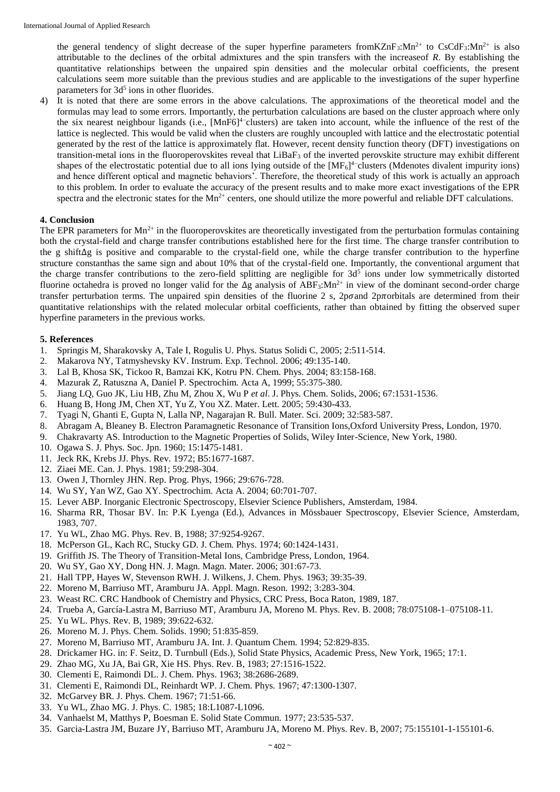the general tendency of slight decrease of the super hyperfine parameters from KZnF<sub>3</sub>:Mn<sup>2+</sup> to CsCdF<sub>3</sub>:Mn<sup>2+</sup> is also attributable to the declines of the orbital admixtures and the spin transfers with the increaseof *R*. By establishing the quantitative relationships between the unpaired spin densities and the molecular orbital coefficients, the present calculations seem more suitable than the previous studies and are applicable to the investigations of the super hyperfine parameters for 3d<sup>5</sup> ions in other fluorides.

4) It is noted that there are some errors in the above calculations. The approximations of the theoretical model and the formulas may lead to some errors. Importantly, the perturbation calculations are based on the cluster approach where only the six nearest neighbour ligands (i.e., [MnF6]<sup>4−</sup>clusters) are taken into account, while the influence of the rest of the lattice is neglected. This would be valid when the clusters are roughly uncoupled with lattice and the electrostatic potential generated by the rest of the lattice is approximately flat. However, recent density function theory (DFT) investigations on transition-metal ions in the fluoroperovskites reveal that  $LiBaF<sub>3</sub>$  of the inverted perovskite structure may exhibit different shapes of the electrostatic potential due to all ions lying outside of the  $[MF<sub>6</sub>]<sup>4</sup>$  clusters (Mdenotes divalent impurity ions) and hence different optical and magnetic behaviors'. Therefore, the theoretical study of this work is actually an approach to this problem. In order to evaluate the accuracy of the present results and to make more exact investigations of the EPR spectra and the electronic states for the  $Mn^{2+}$  centers, one should utilize the more powerful and reliable DFT calculations.

### **4. Conclusion**

The EPR parameters for  $Mn^{2+}$  in the fluoroperovskites are theoretically investigated from the perturbation formulas containing both the crystal-field and charge transfer contributions established here for the first time. The charge transfer contribution to the g shiftΔg is positive and comparable to the crystal-field one, while the charge transfer contribution to the hyperfine structure constanthas the same sign and about 10% that of the crystal-field one. Importantly, the conventional argument that the charge transfer contributions to the zero-field splitting are negligible for 3d<sup>5</sup> ions under low symmetrically distorted fluorine octahedra is proved no longer valid for the  $\Delta g$  analysis of ABF<sub>3</sub>:Mn<sup>2+</sup> in view of the dominant second-order charge transfer perturbation terms. The unpaired spin densities of the fluorine 2 s,  $2p\sigma$  and  $2p\pi$  orbitals are determined from their quantitative relationships with the related molecular orbital coefficients, rather than obtained by fitting the observed super hyperfine parameters in the previous works.

#### **5. References**

- 1. Springis M, Sharakovsky A, Tale I, Rogulis U. Phys. Status Solidi C, 2005; 2:511-514.
- 2. Makarova NY, Tatmyshevsky KV. Instrum. Exp. Technol. 2006; 49:135-140.
- 3. Lal B, Khosa SK, Tickoo R, Bamzai KK, Kotru PN. Chem. Phys. 2004; 83:158-168.
- 4. Mazurak Z, Ratuszna A, Daniel P. Spectrochim. Acta A, 1999; 55:375-380.
- 5. Jiang LQ, Guo JK, Liu HB, Zhu M, Zhou X, Wu P *et al*. J. Phys. Chem. Solids, 2006; 67:1531-1536.
- 6. Huang B, Hong JM, Chen XT, Yu Z, You XZ. Mater. Lett. 2005; 59:430-433.
- 7. Tyagi N, Ghanti E, Gupta N, Lalla NP, Nagarajan R. Bull. Mater. Sci. 2009; 32:583-587.
- 8. Abragam A, Bleaney B. Electron Paramagnetic Resonance of Transition Ions,Oxford University Press, London, 1970.
- 9. Chakravarty AS. Introduction to the Magnetic Properties of Solids, Wiley Inter-Science, New York, 1980.
- 10. Ogawa S. J. Phys. Soc. Jpn. 1960; 15:1475-1481.
- 11. Jeck RK, Krebs JJ. Phys. Rev. 1972; B5:1677-1687.
- 12. Ziaei ME. Can. J. Phys. 1981; 59:298-304.
- 13. Owen J, Thornley JHN. Rep. Prog. Phys, 1966; 29:676-728.
- 14. Wu SY, Yan WZ, Gao XY. Spectrochim. Acta A. 2004; 60:701-707.
- 15. Lever ABP. Inorganic Electronic Spectroscopy, Elsevier Science Publishers, Amsterdam, 1984.
- 16. Sharma RR, Thosar BV. In: P.K Lyenga (Ed.), Advances in Mössbauer Spectroscopy, Elsevier Science, Amsterdam, 1983, 707.
- 17. Yu WL, Zhao MG. Phys. Rev. B, 1988; 37:9254-9267.
- 18. McPerson GL, Kach RC, Stucky GD. J. Chem. Phys. 1974; 60:1424-1431.
- 19. Griffith JS. The Theory of Transition-Metal Ions, Cambridge Press, London, 1964.
- 20. Wu SY, Gao XY, Dong HN. J. Magn. Magn. Mater. 2006; 301:67-73.
- 21. Hall TPP, Hayes W, Stevenson RWH. J. Wilkens, J. Chem. Phys. 1963; 39:35-39.
- 22. Moreno M, Barriuso MT, Aramburu JA. Appl. Magn. Reson. 1992; 3:283-304.
- 23. Weast RC. CRC Handbook of Chemistry and Physics, CRC Press, Boca Raton, 1989, 187.
- 24. Trueba A, García-Lastra M, Barriuso MT, Aramburu JA, Moreno M. Phys. Rev. B. 2008; 78:075108-1–075108-11.
- 25. Yu WL. Phys. Rev. B, 1989; 39:622-632.
- 26. Moreno M. J. Phys. Chem. Solids. 1990; 51:835-859.
- 27. Moreno M, Barriuso MT, Aramburu JA. Int. J. Quantum Chem. 1994; 52:829-835.
- 28. Drickamer HG. in: F. Seitz, D. Turnbull (Eds.), Solid State Physics, Academic Press, New York, 1965; 17:1.
- 29. Zhao MG, Xu JA, Bai GR, Xie HS. Phys. Rev. B, 1983; 27:1516-1522.
- 30. Clementi E, Raimondi DL. J. Chem. Phys. 1963; 38:2686-2689.
- 31. Clementi E, Raimondi DL, Reinhardt WP. J. Chem. Phys. 1967; 47:1300-1307.
- 32. McGarvey BR. J. Phys. Chem. 1967; 71:51-66.
- 33. Yu WL, Zhao MG. J. Phys. C. 1985; 18:L1087-L1096.
- 34. Vanhaelst M, Matthys P, Boesman E. Solid State Commun. 1977; 23:535-537.
- 35. Garcia-Lastra JM, Buzare JY, Barriuso MT, Aramburu JA, Moreno M. Phys. Rev. B, 2007; 75:155101-1-155101-6.